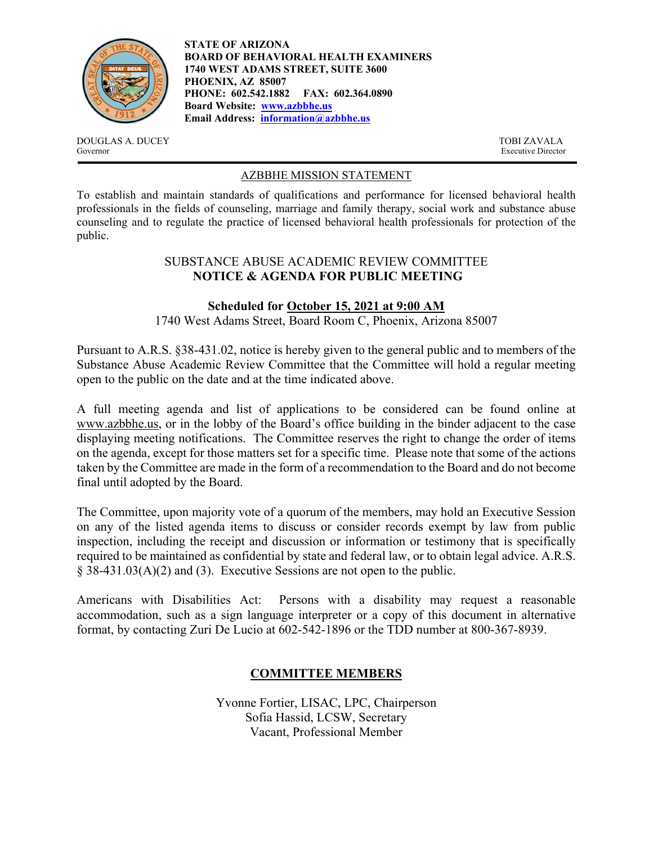

**STATE OF ARIZONA BOARD OF BEHAVIORAL HEALTH EXAMINERS 1740 WEST ADAMS STREET, SUITE 3600 PHOENIX, AZ 85007 PHONE: 602.542.1882 FAX: 602.364.0890 Board Website: www.azbbhe.us Email Address: information@azbbhe.us**

DOUGLAS A. DUCEY TOBI ZAVALA Governor Executive Director

# AZBBHE MISSION STATEMENT

To establish and maintain standards of qualifications and performance for licensed behavioral health professionals in the fields of counseling, marriage and family therapy, social work and substance abuse counseling and to regulate the practice of licensed behavioral health professionals for protection of the public.

## SUBSTANCE ABUSE ACADEMIC REVIEW COMMITTEE **NOTICE & AGENDA FOR PUBLIC MEETING**

## **Scheduled for October 15, 2021 at 9:00 AM**

1740 West Adams Street, Board Room C, Phoenix, Arizona 85007

Pursuant to A.R.S. §38-431.02, notice is hereby given to the general public and to members of the Substance Abuse Academic Review Committee that the Committee will hold a regular meeting open to the public on the date and at the time indicated above.

A full meeting agenda and list of applications to be considered can be found online at www.azbbhe.us, or in the lobby of the Board's office building in the binder adjacent to the case displaying meeting notifications. The Committee reserves the right to change the order of items on the agenda, except for those matters set for a specific time. Please note that some of the actions taken by the Committee are made in the form of a recommendation to the Board and do not become final until adopted by the Board.

The Committee, upon majority vote of a quorum of the members, may hold an Executive Session on any of the listed agenda items to discuss or consider records exempt by law from public inspection, including the receipt and discussion or information or testimony that is specifically required to be maintained as confidential by state and federal law, or to obtain legal advice. A.R.S. § 38-431.03(A)(2) and (3). Executive Sessions are not open to the public.

Americans with Disabilities Act: Persons with a disability may request a reasonable accommodation, such as a sign language interpreter or a copy of this document in alternative format, by contacting Zuri De Lucio at 602-542-1896 or the TDD number at 800-367-8939.

# **COMMITTEE MEMBERS**

Yvonne Fortier, LISAC, LPC, Chairperson Sofia Hassid, LCSW, Secretary Vacant, Professional Member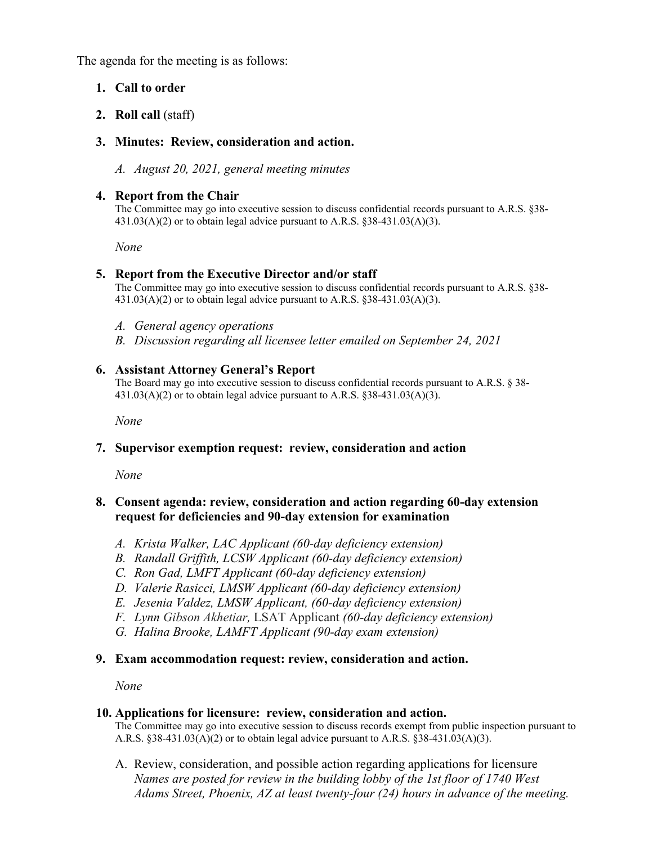The agenda for the meeting is as follows:

# **1. Call to order**

# **2. Roll call** (staff)

## **3. Minutes: Review, consideration and action.**

*A. August 20, 2021, general meeting minutes* 

#### **4. Report from the Chair**

The Committee may go into executive session to discuss confidential records pursuant to A.R.S. §38-  $431.03(A)(2)$  or to obtain legal advice pursuant to A.R.S. §38-431.03(A)(3).

 *None* 

## **5. Report from the Executive Director and/or staff**

The Committee may go into executive session to discuss confidential records pursuant to A.R.S. §38-  $431.03(A)(2)$  or to obtain legal advice pursuant to A.R.S. §38-431.03(A)(3).

- *A. General agency operations*
- *B. Discussion regarding all licensee letter emailed on September 24, 2021*

#### **6. Assistant Attorney General's Report**

The Board may go into executive session to discuss confidential records pursuant to A.R.S. § 38-  $431.03(A)(2)$  or to obtain legal advice pursuant to A.R.S. §38-431.03(A)(3).

 *None* 

## **7. Supervisor exemption request: review, consideration and action**

 *None* 

## **8. Consent agenda: review, consideration and action regarding 60-day extension request for deficiencies and 90-day extension for examination**

- *A. Krista Walker, LAC Applicant (60-day deficiency extension)*
- *B. Randall Griffith, LCSW Applicant (60-day deficiency extension)*
- *C. Ron Gad, LMFT Applicant (60-day deficiency extension)*
- *D. Valerie Rasicci, LMSW Applicant (60-day deficiency extension)*
- *E. Jesenia Valdez, LMSW Applicant, (60-day deficiency extension)*
- *F. Lynn Gibson Akhetiar,* LSAT Applicant *(60-day deficiency extension)*
- *G. Halina Brooke, LAMFT Applicant (90-day exam extension)*

## **9. Exam accommodation request: review, consideration and action.**

*None* 

#### **10. Applications for licensure: review, consideration and action.**

The Committee may go into executive session to discuss records exempt from public inspection pursuant to A.R.S. §38-431.03(A)(2) or to obtain legal advice pursuant to A.R.S. §38-431.03(A)(3).

A. Review, consideration, and possible action regarding applications for licensure  *Names are posted for review in the building lobby of the 1st floor of 1740 West Adams Street, Phoenix, AZ at least twenty-four (24) hours in advance of the meeting.*